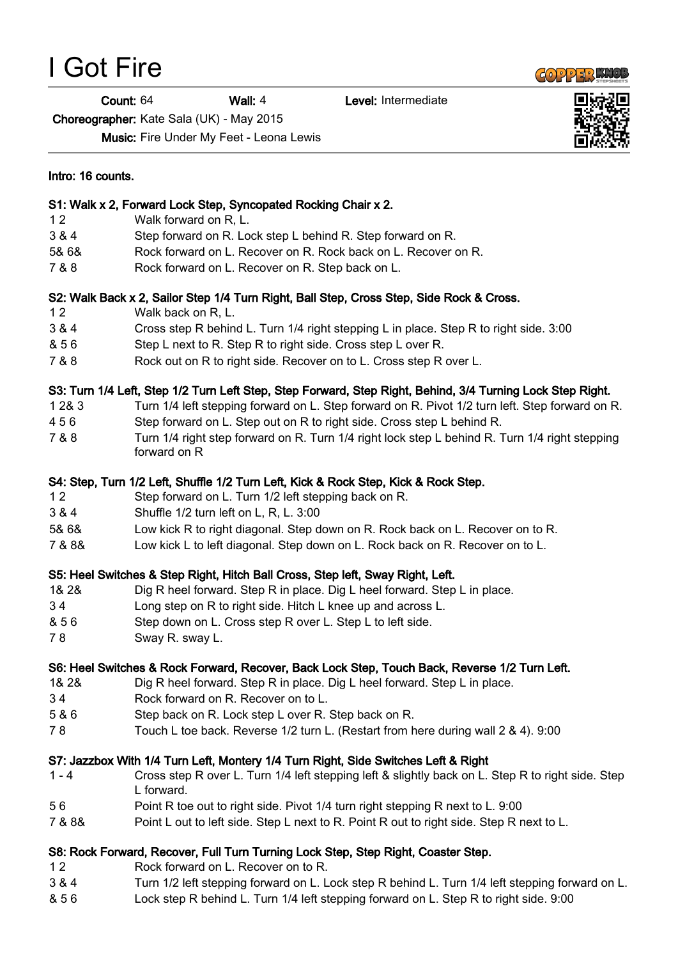I Got Fire

Count: 64 Wall: 4 Level: Intermediate

Choreographer: Kate Sala (UK) - May 2015

Music: Fire Under My Feet - Leona Lewis

| Intro: 16 counts. |                                                                                                                 |
|-------------------|-----------------------------------------------------------------------------------------------------------------|
|                   | S1: Walk x 2, Forward Lock Step, Syncopated Rocking Chair x 2.                                                  |
| 12                | Walk forward on R, L.                                                                                           |
| 3 & 4             | Step forward on R. Lock step L behind R. Step forward on R.                                                     |
| 5& 6&             | Rock forward on L. Recover on R. Rock back on L. Recover on R.                                                  |
| 7 & 8             | Rock forward on L. Recover on R. Step back on L.                                                                |
|                   | S2: Walk Back x 2, Sailor Step 1/4 Turn Right, Ball Step, Cross Step, Side Rock & Cross.                        |
| 12                | Walk back on R, L.                                                                                              |
| 3 & 4             | Cross step R behind L. Turn 1/4 right stepping L in place. Step R to right side. 3:00                           |
| & 56              | Step L next to R. Step R to right side. Cross step L over R.                                                    |
| 7 & 8             | Rock out on R to right side. Recover on to L. Cross step R over L.                                              |
|                   | S3: Turn 1/4 Left, Step 1/2 Turn Left Step, Step Forward, Step Right, Behind, 3/4 Turning Lock Step Right.      |
| 1 2 & 3           | Turn 1/4 left stepping forward on L. Step forward on R. Pivot 1/2 turn left. Step forward on R.                 |
| 456               | Step forward on L. Step out on R to right side. Cross step L behind R.                                          |
| 7 & 8             | Turn 1/4 right step forward on R. Turn 1/4 right lock step L behind R. Turn 1/4 right stepping<br>forward on R  |
|                   | S4: Step, Turn 1/2 Left, Shuffle 1/2 Turn Left, Kick & Rock Step, Kick & Rock Step.                             |
| 12                | Step forward on L. Turn 1/2 left stepping back on R.                                                            |
| 3 & 4             | Shuffle 1/2 turn left on L, R, L. 3:00                                                                          |
| 5& 6&             | Low kick R to right diagonal. Step down on R. Rock back on L. Recover on to R.                                  |
| 7 & 8 &           | Low kick L to left diagonal. Step down on L. Rock back on R. Recover on to L.                                   |
|                   | S5: Heel Switches & Step Right, Hitch Ball Cross, Step left, Sway Right, Left.                                  |
| 1& 2&             | Dig R heel forward. Step R in place. Dig L heel forward. Step L in place.                                       |
| 34                | Long step on R to right side. Hitch L knee up and across L.                                                     |
| & 56              | Step down on L. Cross step R over L. Step L to left side.                                                       |
| 78                | Sway R. sway L.                                                                                                 |
|                   | S6: Heel Switches & Rock Forward, Recover, Back Lock Step, Touch Back, Reverse 1/2 Turn Left.                   |
| 1& 2&             | Dig R heel forward. Step R in place. Dig L heel forward. Step L in place.                                       |
| 34                | Rock forward on R. Recover on to L.                                                                             |
| 5 & 6             | Step back on R. Lock step L over R. Step back on R.                                                             |
| 78                | Touch L toe back. Reverse 1/2 turn L. (Restart from here during wall 2 & 4). 9:00                               |
|                   | S7: Jazzbox With 1/4 Turn Left, Montery 1/4 Turn Right, Side Switches Left & Right                              |
| $1 - 4$           | Cross step R over L. Turn 1/4 left stepping left & slightly back on L. Step R to right side. Step<br>L forward. |
| 56                | Point R toe out to right side. Pivot 1/4 turn right stepping R next to L. 9:00                                  |
| 7 & 8 &           | Point L out to left side. Step L next to R. Point R out to right side. Step R next to L.                        |
|                   | S8: Rock Forward, Recover, Full Turn Turning Lock Step, Step Right, Coaster Step.                               |
| $12$              | Rock forward on L. Recover on to R.                                                                             |

- 3 & 4 Turn 1/2 left stepping forward on L. Lock step R behind L. Turn 1/4 left stepping forward on L.
- & 5 6 Lock step R behind L. Turn 1/4 left stepping forward on L. Step R to right side. 9:00



**COPPER KNOP**